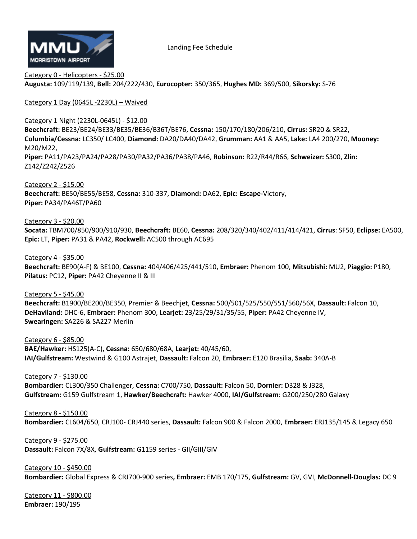

Landing Fee Schedule

Category 0 - Helicopters - \$25.00 **Augusta:** 109/119/139, **Bell:** 204/222/430, **Eurocopter:** 350/365, **Hughes MD:** 369/500, **Sikorsky:** S-76

Category 1 Day (0645L -2230L) – Waived

Category 1 Night (2230L-0645L) - \$12.00

**Beechcraft:** BE23/BE24/BE33/BE35/BE36/B36T/BE76, **Cessna:** 150/170/180/206/210, **Cirrus:** SR20 & SR22, **Columbia/Cessna:** LC350/ LC400, **Diamond:** DA20/DA40/DA42, **Grumman:** AA1 & AA5, **Lake:** LA4 200/270, **Mooney:** M20/M22,

**Piper:** PA11/PA23/PA24/PA28/PA30/PA32/PA36/PA38/PA46, **Robinson:** R22/R44/R66, **Schweizer:** S300, **Zlin:** Z142/Z242/Z526

Category 2 - \$15.00 **Beechcraft:** BE50/BE55/BE58, **Cessna:** 310-337, **Diamond:** DA62, **Epic: Escape-**Victory, **Piper:** PA34/PA46T/PA60

Category 3 - \$20.00

**Socata:** TBM700/850/900/910/930, **Beechcraft:** BE60, **Cessna:** 208/320/340/402/411/414/421, **Cirrus**: SF50, **Eclipse:** EA500, **Epic:** LT, **Piper:** PA31 & PA42, **Rockwell:** AC500 through AC695

Category 4 - \$35.00

**Beechcraft:** BE90(A-F) & BE100, **Cessna:** 404/406/425/441/510, **Embraer:** Phenom 100, **Mitsubishi:** MU2, **Piaggio:** P180, **Pilatus:** PC12, **Piper:** PA42 Cheyenne II & III

Category 5 - \$45.00

**Beechcraft:** B1900/BE200/BE350, Premier & Beechjet, **Cessna:** 500/501/525/550/551/560/56X, **Dassault:** Falcon 10, **DeHaviland:** DHC-6, **Embraer:** Phenom 300, **Learjet:** 23/25/29/31/35/55, **Piper:** PA42 Cheyenne IV, **Swearingen:** SA226 & SA227 Merlin

Category 6 - \$85.00 **BAE/Hawker:** HS125(A-C), **Cessna:** 650/680/68A, **Learjet:** 40/45/60, **IAI/Gulfstream:** Westwind & G100 Astrajet, **Dassault:** Falcon 20, **Embraer:** E120 Brasilia, **Saab:** 340A-B

Category 7 - \$130.00 **Bombardier:** CL300/350 Challenger, **Cessna:** C700/750, **Dassault:** Falcon 50, **Dornier:** D328 & J328, **Gulfstream:** G159 Gulfstream 1, **Hawker/Beechcraft:** Hawker 4000, **IAI/Gulfstream**: G200/250/280 Galaxy

Category 8 - \$150.00 **Bombardier:** CL604/650, CRJ100- CRJ440 series, **Dassault:** Falcon 900 & Falcon 2000, **Embraer:** ERJ135/145 & Legacy 650

Category 9 - \$275.00 **Dassault:** Falcon 7X/8X, **Gulfstream:** G1159 series - GII/GIII/GIV

Category 10 - \$450.00 **Bombardier:** Global Express & CRJ700-900 series**, Embraer:** EMB 170/175, **Gulfstream:** GV, GVI, **McDonnell-Douglas:** DC 9

Category 11 - \$800.00 **Embraer:** 190/195